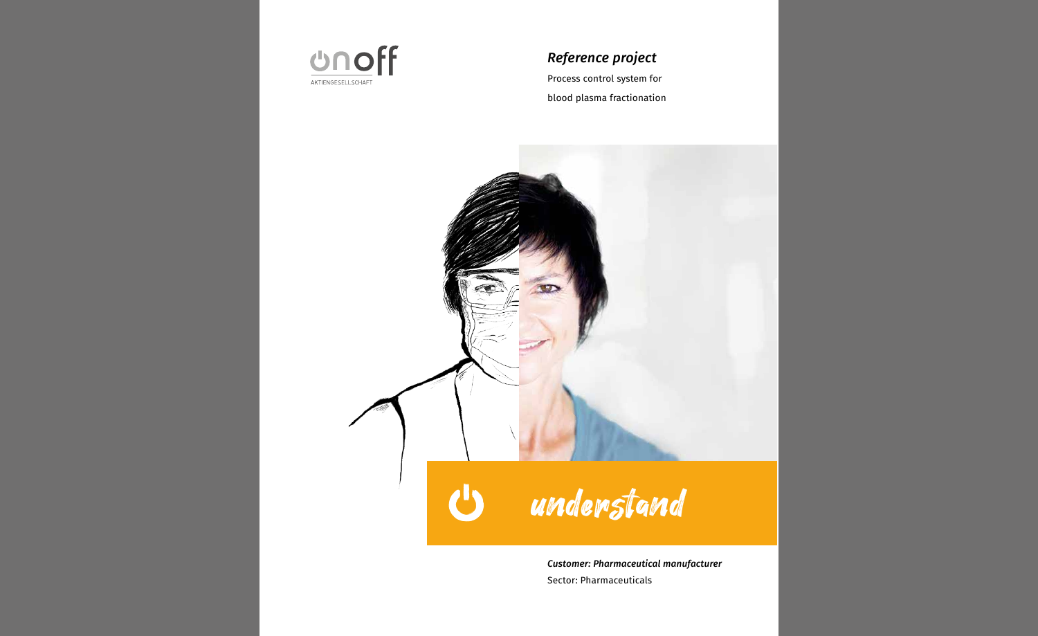

# *Reference project*

Process control system for blood plasma fractionation



*Customer: Pharmaceutical manufacturer* Sector: Pharmaceuticals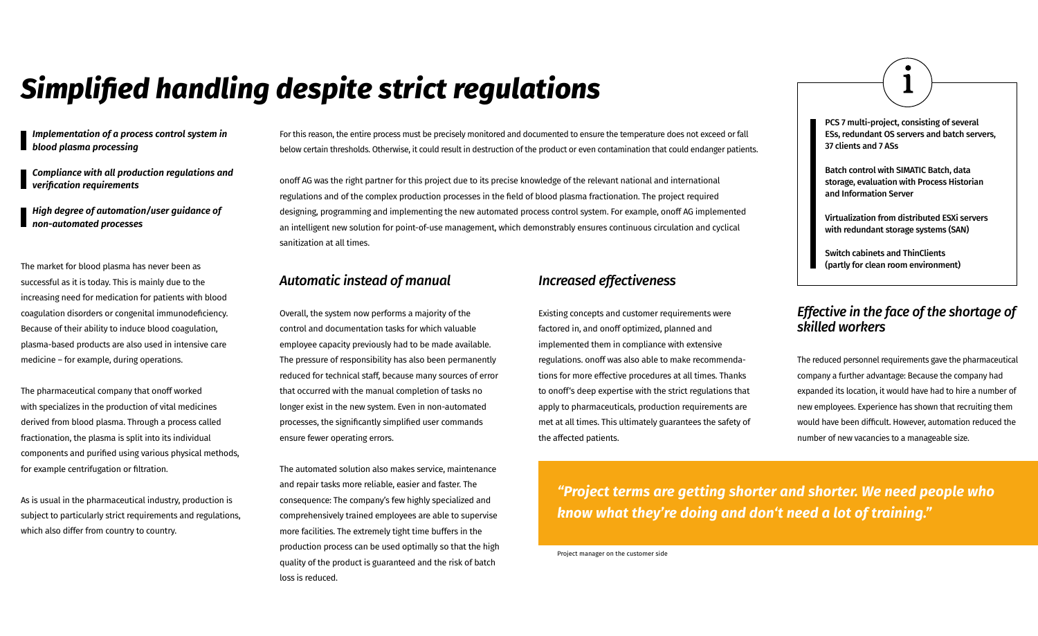*Implementation of a process control system in blood plasma processing*

*Compliance with all production regulations and verification requirements*

*High degree of automation/user guidance of non-automated processes*

# *Simplified handling despite strict regulations*

For this reason, the entire process must be precisely monitored and documented to ensure the temperature does not exceed or fall below certain thresholds. Otherwise, it could result in destruction of the product or even contamination that could endanger patients.

onoff AG was the right partner for this project due to its precise knowledge of the relevant national and international regulations and of the complex production processes in the field of blood plasma fractionation. The project required designing, programming and implementing the new automated process control system. For example, onoff AG implemented an intelligent new solution for point-of-use management, which demonstrably ensures continuous circulation and cyclical sanitization at all times.

### *Automatic instead of manual*

Overall, the system now performs a majority of the control and documentation tasks for which valuable employee capacity previously had to be made available. The pressure of responsibility has also been permanently reduced for technical staff, because many sources of error that occurred with the manual completion of tasks no longer exist in the new system. Even in non-automated processes, the significantly simplified user commands ensure fewer operating errors.

The automated solution also makes service, maintenance and repair tasks more reliable, easier and faster. The consequence: The company's few highly specialized and comprehensively trained employees are able to supervise more facilities. The extremely tight time buffers in the production process can be used optimally so that the high quality of the product is guaranteed and the risk of batch loss is reduced.

# *Effective in the face of the shortage of skilled workers*

The reduced personnel requirements gave the pharmaceutical company a further advantage: Because the company had expanded its location, it would have had to hire a number of new employees. Experience has shown that recruiting them would have been difficult. However, automation reduced the number of new vacancies to a manageable size.

The market for blood plasma has never been as successful as it is today. This is mainly due to the increasing need for medication for patients with blood coagulation disorders or congenital immunodeficiency. Because of their ability to induce blood coagulation, plasma-based products are also used in intensive care medicine – for example, during operations.

The pharmaceutical company that onoff worked with specializes in the production of vital medicines derived from blood plasma. Through a process called fractionation, the plasma is split into its individual components and purified using various physical methods, for example centrifugation or filtration.

As is usual in the pharmaceutical industry, production is subject to particularly strict requirements and regulations, which also differ from country to country.

- PCS 7 multi-project, consisting of several ESs, redundant OS servers and batch servers, 37 clients and 7 ASs
- Batch control with SIMATIC Batch, data storage, evaluation with Process Historian and Information Server
- Virtualization from distributed ESXi servers with redundant storage systems (SAN)
- Switch cabinets and ThinClients (partly for clean room environment)

### *Increased effectiveness*

Existing concepts and customer requirements were factored in, and onoff optimized, planned and implemented them in compliance with extensive regulations. onoff was also able to make recommendations for more effective procedures at all times. Thanks to onoff's deep expertise with the strict regulations that apply to pharmaceuticals, production requirements are met at all times. This ultimately guarantees the safety of the affected patients.

*"Project terms are getting shorter and shorter. We need people who know what they're doing and don't need a lot of training."*

Project manager on the customer side